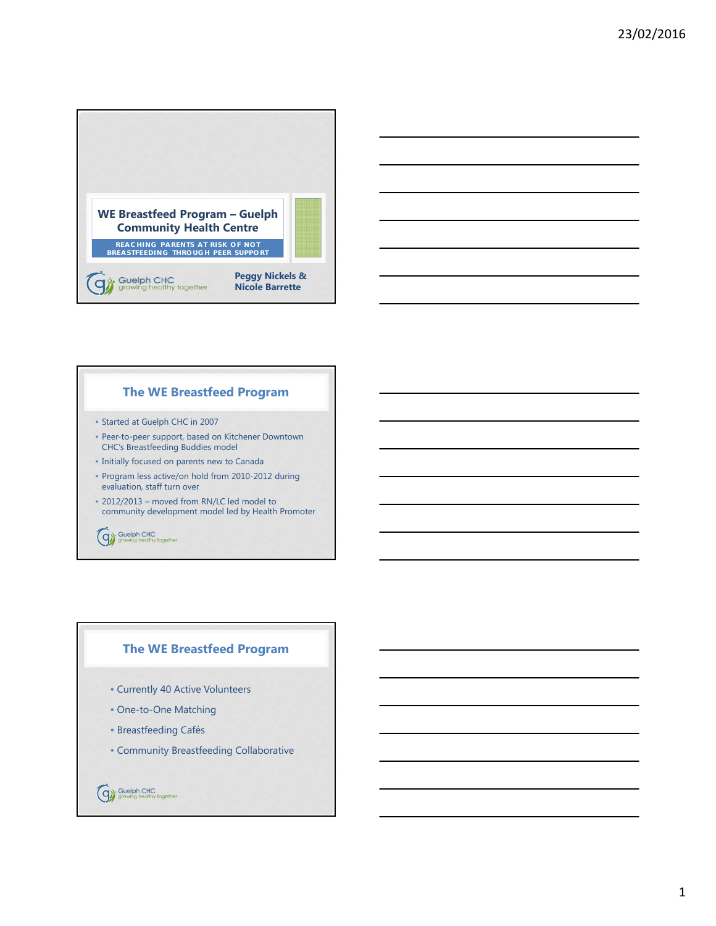



#### **The WE Breastfeed Program**

- Started at Guelph CHC in 2007
- Peer-to-peer support, based on Kitchener Downtown CHC's Breastfeeding Buddies model
- Initially focused on parents new to Canada
- Program less active/on hold from 2010-2012 during evaluation, staff turn over
- 2012/2013 moved from RN/LC led model to community development model led by Health Promoter

Gy Guelph CHC<br>
growing healthy together

## **The WE Breastfeed Program**

- Currently 40 Active Volunteers
- One-to-One Matching
- Breastfeeding Cafés
- Community Breastfeeding Collaborative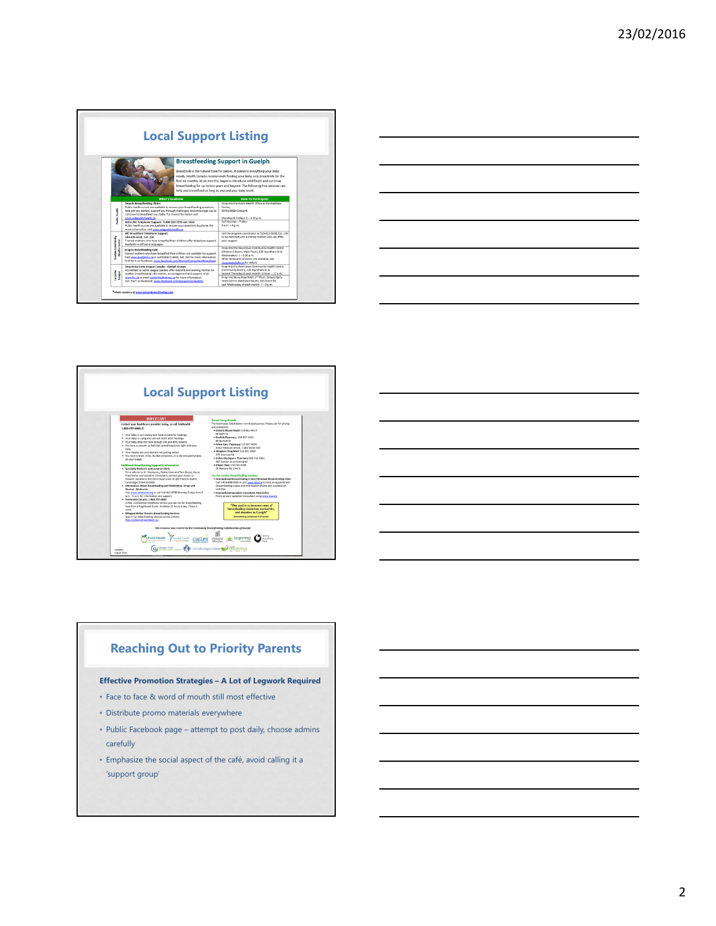| <b>Local Support Listing</b>                                                                                                                                                                                                                                                                                                                                                                                                  |                                                                                                                                                                                                                                                                                                                                                                                                                                                                           |                                                                                                                                                                                                                                                                                                      |
|-------------------------------------------------------------------------------------------------------------------------------------------------------------------------------------------------------------------------------------------------------------------------------------------------------------------------------------------------------------------------------------------------------------------------------|---------------------------------------------------------------------------------------------------------------------------------------------------------------------------------------------------------------------------------------------------------------------------------------------------------------------------------------------------------------------------------------------------------------------------------------------------------------------------|------------------------------------------------------------------------------------------------------------------------------------------------------------------------------------------------------------------------------------------------------------------------------------------------------|
| <b>Breastfeeding Support in Guelph</b><br>Breastmilk is the natural food for babies. It contains everything your baby<br>needs. Health Canada recommends feeding your baby only breastmilk for the<br>first six months. At six months, begin to introduce solid foods and continue<br>breastfeeding for up to two years and beyond. The following free services can<br>help you breastfeed as long as you and your baby want. |                                                                                                                                                                                                                                                                                                                                                                                                                                                                           |                                                                                                                                                                                                                                                                                                      |
|                                                                                                                                                                                                                                                                                                                                                                                                                               | What's Available                                                                                                                                                                                                                                                                                                                                                                                                                                                          | <b>How To Participate</b>                                                                                                                                                                                                                                                                            |
| <b>Seatt</b><br>ğ                                                                                                                                                                                                                                                                                                                                                                                                             | Drop-in Breastfeeding Clinics<br>Public health nurses are available to answer your breastfeeding questions.<br>help get you started, support you through challenges, and encourage you to<br>continue to breastfeed your baby. For more information visit<br>www.wdgpublichealth.ca<br>KIDS UNE Telephone Support: 1-800-265-7293 ext. 3616<br>Public health nurses are available to answer your questions by phone. For<br>more information visit www.wdgpublichealth.ca | Drop into the Public Health Office at the Shelldale<br>Centre.<br>20 Shelldale Crescent.<br>Mondays & Fridays: 1-3:30 p.m.<br>Call Monday - Friday:<br>$9a m - 4a m$                                                                                                                                 |
| <b>Juelph Community</b><br>Health Centre                                                                                                                                                                                                                                                                                                                                                                                      | WE Breastfeed Telephone Support:<br>519-821-6638 . Ext. 250<br>Trained mothers who have breastfed their children offer telephone support.<br>Available in different languages.                                                                                                                                                                                                                                                                                            | Call the program coordinator at 519-821-6638. Ext. 250<br>to be matched with a trained mother who can offer<br>peer support.                                                                                                                                                                         |
|                                                                                                                                                                                                                                                                                                                                                                                                                               | Drop-in Breastfeeding Café<br>Trained mothers who have breastfed their children are available for support.<br>Visit www.puelphchc.ca or call 519-821-6638. Ext. 250 for more information.<br>Find them on facebook: www.facebook.com/WomenEverywhereBreastfeed                                                                                                                                                                                                            | Drop into the Downtown Community Health Centre<br>(Children's Room, Main Floor), 176 Wyndham St N<br>Wednesdays: 1-2:30 p.m.<br>Other times and locations are available, see<br>www.guelphchc.ca for details.                                                                                        |
| La Leche<br>League                                                                                                                                                                                                                                                                                                                                                                                                            | Drop-in La Leche League Canada - Guelph Groups<br>Accredited La Leche League Leaders offer daytime and evening mother-to-<br>mother breastfeeding information, encouragement and support. Visit<br>www.llc.ca or email guelphilic@yahoo.ca for more information.<br>Join them on facebook: www.facebook.com/groups/LLLCGuelph/                                                                                                                                            | Drop into the Downtown Community Health Centre<br>(Community Room), 176 Wyndham St N<br>Second Thursday of each month: 10 a.m. - 12 p.m.<br>Drop into Stone Road Mall, 2 <sup>nd</sup> Floor, Ontario Early<br>Years Centre, (Meridian Room), 435 Stone Rd<br>Last Wednesday of each month: 7-9 p.m. |







# **Reaching Out to Priority Parents**

**Effective Promotion Strategies – A Lot of Legwork Required**

- Face to face & word of mouth still most effective
- Distribute promo materials everywhere
- Public Facebook page attempt to post daily, choose admins carefully
- Emphasize the social aspect of the café, avoid calling it a 'support group'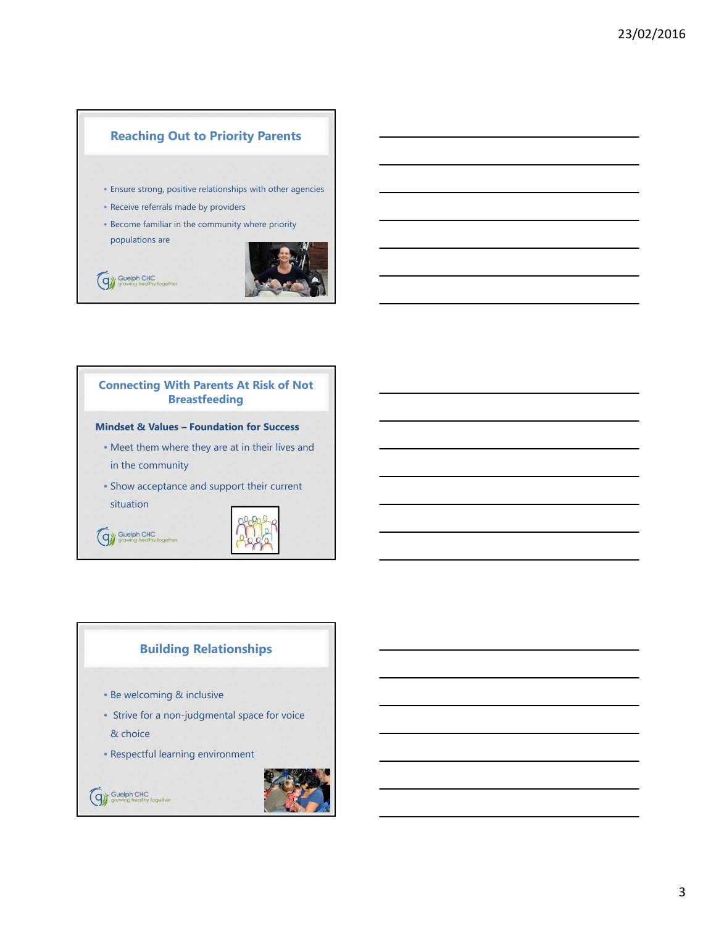# **Reaching Out to Priority Parents**

- Ensure strong, positive relationships with other agencies
- Receive referrals made by providers
- Become familiar in the community where priority

populations are



# Gy Guelph CHC

## **Connecting With Parents At Risk of Not Breastfeeding**

#### **Mindset & Values – Foundation for Success**

- Meet them where they are at in their lives and in the community
- Show acceptance and support their current situation





## **Building Relationships**

- Be welcoming & inclusive
- Strive for a non-judgmental space for voice & choice
- Respectful learning environment



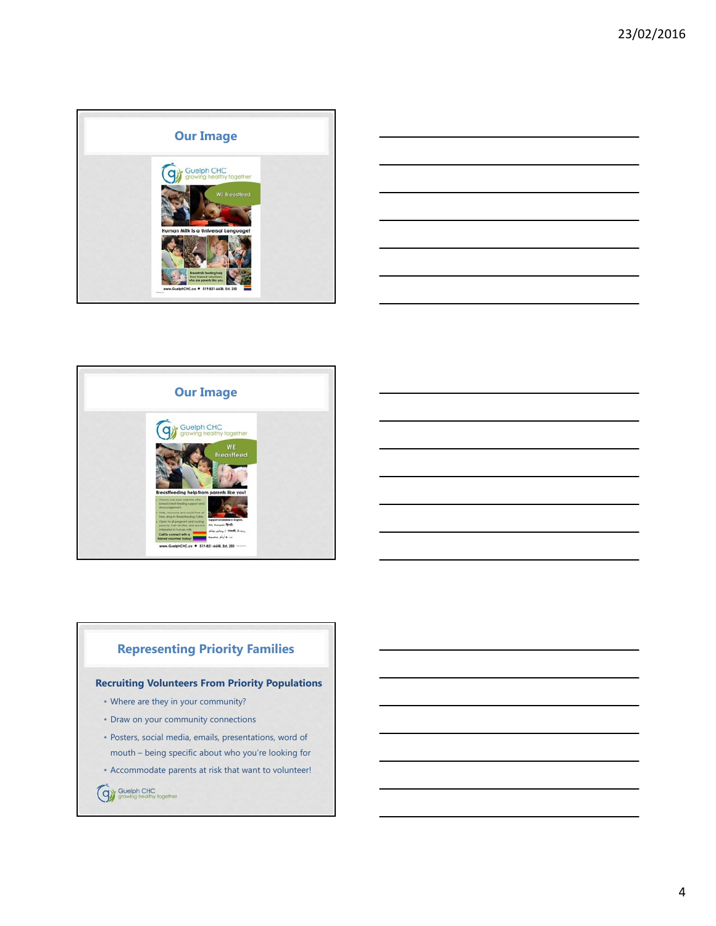





# **Representing Priority Families**

#### **Recruiting Volunteers From Priority Populations**

- Where are they in your community?
- Draw on your community connections
- Posters, social media, emails, presentations, word of mouth – being specific about who you're looking for
- 
- Accommodate parents at risk that want to volunteer!
- Guelph CHC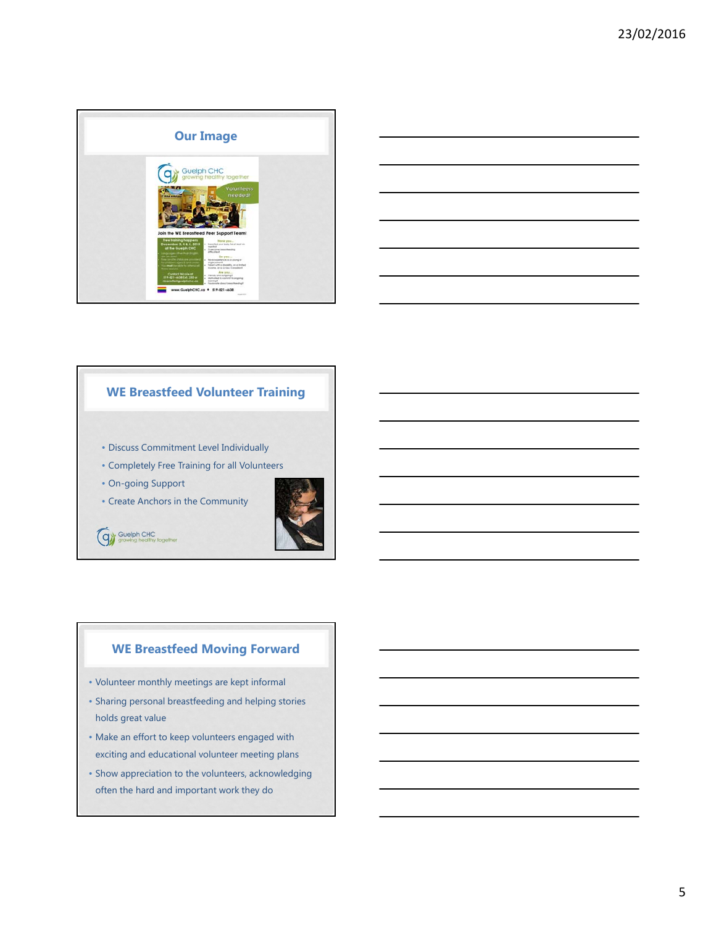



## **WE Breastfeed Volunteer Training**

- Discuss Commitment Level Individually
- Completely Free Training for all Volunteers
- On-going Support
- Create Anchors in the Community



Guelph CHC

## **WE Breastfeed Moving Forward**

- Volunteer monthly meetings are kept informal
- Sharing personal breastfeeding and helping stories holds great value
- Make an effort to keep volunteers engaged with exciting and educational volunteer meeting plans
- Show appreciation to the volunteers, acknowledging often the hard and important work they do